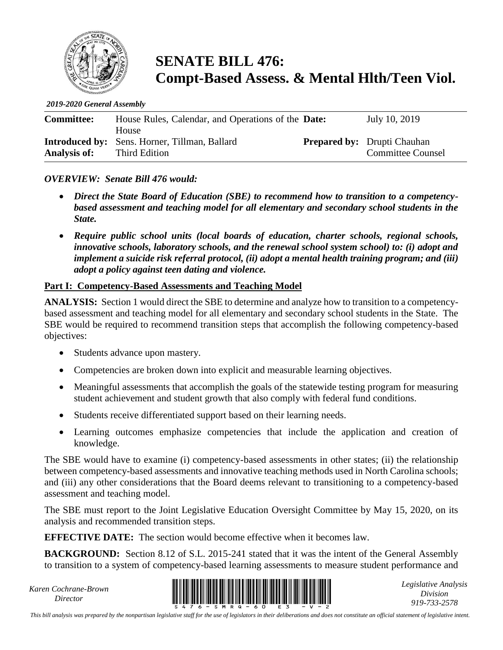

# **SENATE BILL 476: Compt-Based Assess. & Mental Hlth/Teen Viol.**

*2019-2020 General Assembly*

| <b>Committee:</b>   | House Rules, Calendar, and Operations of the <b>Date:</b><br><b>House</b> | July 10, 2019                                                  |
|---------------------|---------------------------------------------------------------------------|----------------------------------------------------------------|
| <b>Analysis of:</b> | <b>Introduced by:</b> Sens. Horner, Tillman, Ballard<br>Third Edition     | <b>Prepared by:</b> Drupti Chauhan<br><b>Committee Counsel</b> |

### *OVERVIEW: Senate Bill 476 would:*

- *Direct the State Board of Education (SBE) to recommend how to transition to a competencybased assessment and teaching model for all elementary and secondary school students in the State.*
- *Require public school units (local boards of education, charter schools, regional schools, innovative schools, laboratory schools, and the renewal school system school) to: (i) adopt and implement a suicide risk referral protocol, (ii) adopt a mental health training program; and (iii) adopt a policy against teen dating and violence.*

### **Part I: Competency-Based Assessments and Teaching Model**

**ANALYSIS:** Section 1 would direct the SBE to determine and analyze how to transition to a competencybased assessment and teaching model for all elementary and secondary school students in the State. The SBE would be required to recommend transition steps that accomplish the following competency-based objectives:

- Students advance upon mastery.
- Competencies are broken down into explicit and measurable learning objectives.
- Meaningful assessments that accomplish the goals of the statewide testing program for measuring student achievement and student growth that also comply with federal fund conditions.
- Students receive differentiated support based on their learning needs.
- Learning outcomes emphasize competencies that include the application and creation of knowledge.

The SBE would have to examine (i) competency-based assessments in other states; (ii) the relationship between competency-based assessments and innovative teaching methods used in North Carolina schools; and (iii) any other considerations that the Board deems relevant to transitioning to a competency-based assessment and teaching model.

The SBE must report to the Joint Legislative Education Oversight Committee by May 15, 2020, on its analysis and recommended transition steps.

**EFFECTIVE DATE:** The section would become effective when it becomes law.

**BACKGROUND:** Section 8.12 of S.L. 2015-241 stated that it was the intent of the General Assembly to transition to a system of competency-based learning assessments to measure student performance and

*Karen Cochrane-Brown*



*Legislative Analysis Division 919-733-2578*

*This bill analysis was prepared by the nonpartisan legislative staff for the use of legislators in their deliberations and does not constitute an official statement of legislative intent.*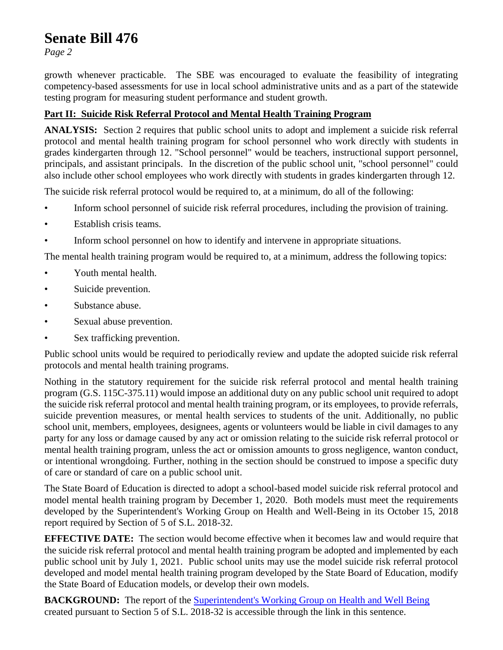# **Senate Bill 476**

*Page 2*

growth whenever practicable. The SBE was encouraged to evaluate the feasibility of integrating competency-based assessments for use in local school administrative units and as a part of the statewide testing program for measuring student performance and student growth.

## **Part II: Suicide Risk Referral Protocol and Mental Health Training Program**

**ANALYSIS:** Section 2 requires that public school units to adopt and implement a suicide risk referral protocol and mental health training program for school personnel who work directly with students in grades kindergarten through 12. "School personnel" would be teachers, instructional support personnel, principals, and assistant principals. In the discretion of the public school unit, "school personnel" could also include other school employees who work directly with students in grades kindergarten through 12.

The suicide risk referral protocol would be required to, at a minimum, do all of the following:

- Inform school personnel of suicide risk referral procedures, including the provision of training.
- Establish crisis teams.
- Inform school personnel on how to identify and intervene in appropriate situations.

The mental health training program would be required to, at a minimum, address the following topics:

- Youth mental health.
- Suicide prevention.
- Substance abuse.
- Sexual abuse prevention.
- Sex trafficking prevention.

Public school units would be required to periodically review and update the adopted suicide risk referral protocols and mental health training programs.

Nothing in the statutory requirement for the suicide risk referral protocol and mental health training program (G.S. 115C-375.11) would impose an additional duty on any public school unit required to adopt the suicide risk referral protocol and mental health training program, or its employees, to provide referrals, suicide prevention measures, or mental health services to students of the unit. Additionally, no public school unit, members, employees, designees, agents or volunteers would be liable in civil damages to any party for any loss or damage caused by any act or omission relating to the suicide risk referral protocol or mental health training program, unless the act or omission amounts to gross negligence, wanton conduct, or intentional wrongdoing. Further, nothing in the section should be construed to impose a specific duty of care or standard of care on a public school unit.

The State Board of Education is directed to adopt a school-based model suicide risk referral protocol and model mental health training program by December 1, 2020. Both models must meet the requirements developed by the Superintendent's Working Group on Health and Well-Being in its October 15, 2018 report required by Section of 5 of S.L. 2018-32.

**EFFECTIVE DATE:** The section would become effective when it becomes law and would require that the suicide risk referral protocol and mental health training program be adopted and implemented by each public school unit by July 1, 2021. Public school units may use the model suicide risk referral protocol developed and model mental health training program developed by the State Board of Education, modify the State Board of Education models, or develop their own models.

**BACKGROUND:** The report of the [Superintendent's Working Group](https://www.ncleg.gov/documentsites/committees/JLEOC/Reports%20Received/2018%20Reports%20Received/Recommendations%20from%20Superintendent%E2%80%99s%20Working%20Group%20on%20Student%20Health%20&%20Well-Being.pdf.) on Health and Well Being created pursuant to Section 5 of S.L. 2018-32 is accessible through the link in this sentence.